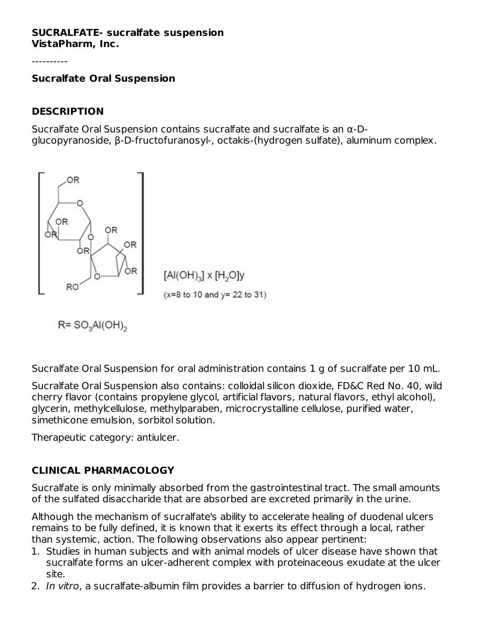#### **SUCRALFATE- sucralfate suspension VistaPharm, Inc.**

### **Sucralfate Oral Suspension**

### **DESCRIPTION**

Sucralfate Oral Suspension contains sucralfate and sucralfate is an α-Dglucopyranoside, β-D-fructofuranosyl-, octakis-(hydrogen sulfate), aluminum complex.



 $R = SO<sub>3</sub>Al(OH)<sub>2</sub>$ 

Sucralfate Oral Suspension for oral administration contains 1 g of sucralfate per 10 mL.

Sucralfate Oral Suspension also contains: colloidal silicon dioxide, FD&C Red No. 40, wild cherry flavor (contains propylene glycol, artificial flavors, natural flavors, ethyl alcohol), glycerin, methylcellulose, methylparaben, microcrystalline cellulose, purified water, simethicone emulsion, sorbitol solution.

Therapeutic category: antiulcer.

# **CLINICAL PHARMACOLOGY**

Sucralfate is only minimally absorbed from the gastrointestinal tract. The small amounts of the sulfated disaccharide that are absorbed are excreted primarily in the urine.

Although the mechanism of sucralfate's ability to accelerate healing of duodenal ulcers remains to be fully defined, it is known that it exerts its effect through a local, rather than systemic, action. The following observations also appear pertinent:

- 1. Studies in human subjects and with animal models of ulcer disease have shown that sucralfate forms an ulcer-adherent complex with proteinaceous exudate at the ulcer site.
- 2. In vitro, a sucralfate-albumin film provides a barrier to diffusion of hydrogen ions.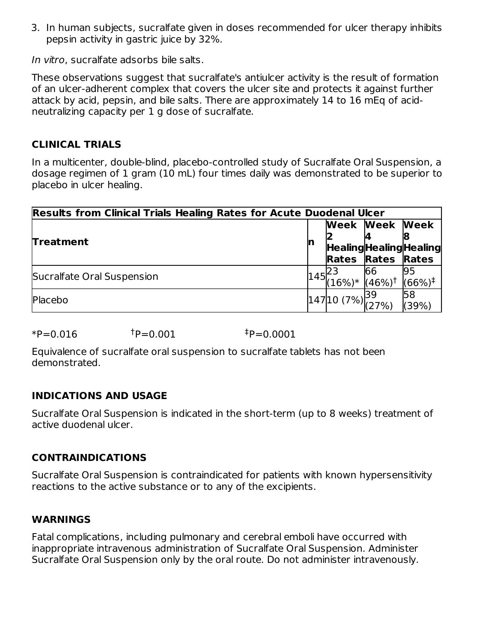3. In human subjects, sucralfate given in doses recommended for ulcer therapy inhibits pepsin activity in gastric juice by 32%.

In vitro, sucralfate adsorbs bile salts.

These observations suggest that sucralfate's antiulcer activity is the result of formation of an ulcer-adherent complex that covers the ulcer site and protects it against further attack by acid, pepsin, and bile salts. There are approximately 14 to 16 mEq of acidneutralizing capacity per 1 g dose of sucralfate.

### **CLINICAL TRIALS**

In a multicenter, double-blind, placebo-controlled study of Sucralfate Oral Suspension, a dosage regimen of 1 gram (10 mL) four times daily was demonstrated to be superior to placebo in ulcer healing.

| <b>Results from Clinical Trials Healing Rates for Acute Duodenal Ulcer</b> |  |                                                 |                          |                                |  |  |  |
|----------------------------------------------------------------------------|--|-------------------------------------------------|--------------------------|--------------------------------|--|--|--|
| Treatment                                                                  |  |                                                 | <b>Week Week Week</b>    |                                |  |  |  |
|                                                                            |  |                                                 | <b>Rates Rates Rates</b> | <b>Healing Healing Healing</b> |  |  |  |
| Sucralfate Oral Suspension                                                 |  | $1145^{25}_{(16\%)^{*}~}$ k $\cdot$             |                          |                                |  |  |  |
| Placebo                                                                    |  | $\left 147\right 10(7\%)$ $\left 39\right 27\%$ |                          | 58<br>(39%)                    |  |  |  |

Equivalence of sucralfate oral suspension to sucralfate tablets has not been demonstrated.

### **INDICATIONS AND USAGE**

Sucralfate Oral Suspension is indicated in the short-term (up to 8 weeks) treatment of active duodenal ulcer.

# **CONTRAINDICATIONS**

Sucralfate Oral Suspension is contraindicated for patients with known hypersensitivity reactions to the active substance or to any of the excipients.

# **WARNINGS**

Fatal complications, including pulmonary and cerebral emboli have occurred with inappropriate intravenous administration of Sucralfate Oral Suspension. Administer Sucralfate Oral Suspension only by the oral route. Do not administer intravenously.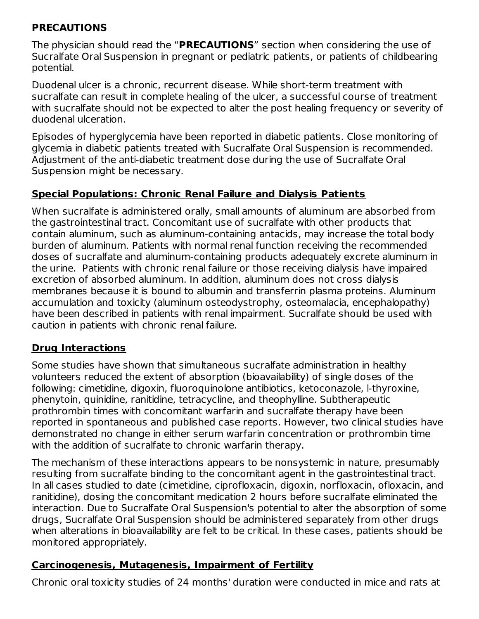### **PRECAUTIONS**

The physician should read the "**PRECAUTIONS**" section when considering the use of Sucralfate Oral Suspension in pregnant or pediatric patients, or patients of childbearing potential.

Duodenal ulcer is a chronic, recurrent disease. While short-term treatment with sucralfate can result in complete healing of the ulcer, a successful course of treatment with sucralfate should not be expected to alter the post healing frequency or severity of duodenal ulceration.

Episodes of hyperglycemia have been reported in diabetic patients. Close monitoring of glycemia in diabetic patients treated with Sucralfate Oral Suspension is recommended. Adjustment of the anti-diabetic treatment dose during the use of Sucralfate Oral Suspension might be necessary.

# **Special Populations: Chronic Renal Failure and Dialysis Patients**

When sucralfate is administered orally, small amounts of aluminum are absorbed from the gastrointestinal tract. Concomitant use of sucralfate with other products that contain aluminum, such as aluminum-containing antacids, may increase the total body burden of aluminum. Patients with normal renal function receiving the recommended doses of sucralfate and aluminum-containing products adequately excrete aluminum in the urine. Patients with chronic renal failure or those receiving dialysis have impaired excretion of absorbed aluminum. In addition, aluminum does not cross dialysis membranes because it is bound to albumin and transferrin plasma proteins. Aluminum accumulation and toxicity (aluminum osteodystrophy, osteomalacia, encephalopathy) have been described in patients with renal impairment. Sucralfate should be used with caution in patients with chronic renal failure.

# **Drug Interactions**

Some studies have shown that simultaneous sucralfate administration in healthy volunteers reduced the extent of absorption (bioavailability) of single doses of the following: cimetidine, digoxin, fluoroquinolone antibiotics, ketoconazole, l-thyroxine, phenytoin, quinidine, ranitidine, tetracycline, and theophylline. Subtherapeutic prothrombin times with concomitant warfarin and sucralfate therapy have been reported in spontaneous and published case reports. However, two clinical studies have demonstrated no change in either serum warfarin concentration or prothrombin time with the addition of sucralfate to chronic warfarin therapy.

The mechanism of these interactions appears to be nonsystemic in nature, presumably resulting from sucralfate binding to the concomitant agent in the gastrointestinal tract. In all cases studied to date (cimetidine, ciprofloxacin, digoxin, norfloxacin, ofloxacin, and ranitidine), dosing the concomitant medication 2 hours before sucralfate eliminated the interaction. Due to Sucralfate Oral Suspension's potential to alter the absorption of some drugs, Sucralfate Oral Suspension should be administered separately from other drugs when alterations in bioavailability are felt to be critical. In these cases, patients should be monitored appropriately.

# **Carcinogenesis, Mutagenesis, Impairment of Fertility**

Chronic oral toxicity studies of 24 months' duration were conducted in mice and rats at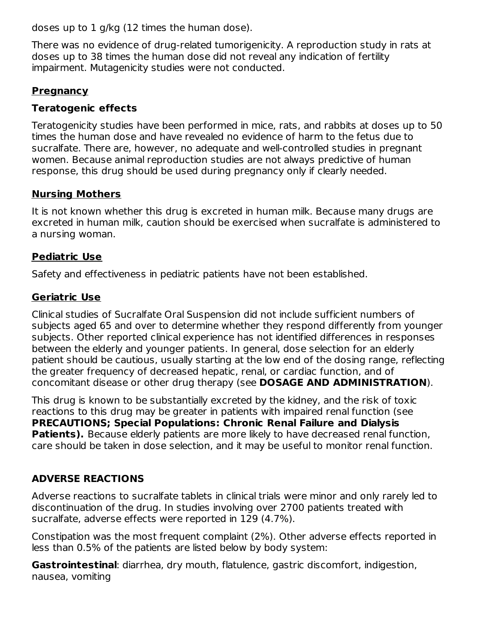doses up to 1 g/kg (12 times the human dose).

There was no evidence of drug-related tumorigenicity. A reproduction study in rats at doses up to 38 times the human dose did not reveal any indication of fertility impairment. Mutagenicity studies were not conducted.

# **Pregnancy**

# **Teratogenic effects**

Teratogenicity studies have been performed in mice, rats, and rabbits at doses up to 50 times the human dose and have revealed no evidence of harm to the fetus due to sucralfate. There are, however, no adequate and well-controlled studies in pregnant women. Because animal reproduction studies are not always predictive of human response, this drug should be used during pregnancy only if clearly needed.

# **Nursing Mothers**

It is not known whether this drug is excreted in human milk. Because many drugs are excreted in human milk, caution should be exercised when sucralfate is administered to a nursing woman.

# **Pediatric Use**

Safety and effectiveness in pediatric patients have not been established.

# **Geriatric Use**

Clinical studies of Sucralfate Oral Suspension did not include sufficient numbers of subjects aged 65 and over to determine whether they respond differently from younger subjects. Other reported clinical experience has not identified differences in responses between the elderly and younger patients. In general, dose selection for an elderly patient should be cautious, usually starting at the low end of the dosing range, reflecting the greater frequency of decreased hepatic, renal, or cardiac function, and of concomitant disease or other drug therapy (see **DOSAGE AND ADMINISTRATION**).

This drug is known to be substantially excreted by the kidney, and the risk of toxic reactions to this drug may be greater in patients with impaired renal function (see **PRECAUTIONS; Special Populations: Chronic Renal Failure and Dialysis Patients).** Because elderly patients are more likely to have decreased renal function, care should be taken in dose selection, and it may be useful to monitor renal function.

# **ADVERSE REACTIONS**

Adverse reactions to sucralfate tablets in clinical trials were minor and only rarely led to discontinuation of the drug. In studies involving over 2700 patients treated with sucralfate, adverse effects were reported in 129 (4.7%).

Constipation was the most frequent complaint (2%). Other adverse effects reported in less than 0.5% of the patients are listed below by body system:

**Gastrointestinal**: diarrhea, dry mouth, flatulence, gastric discomfort, indigestion, nausea, vomiting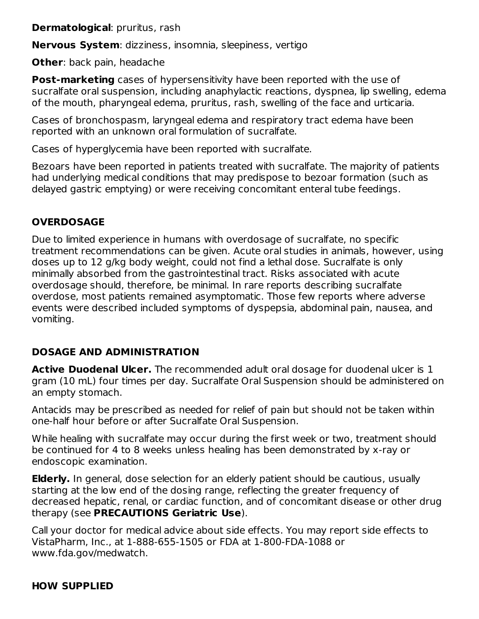**Dermatological**: pruritus, rash

**Nervous System**: dizziness, insomnia, sleepiness, vertigo

**Other**: back pain, headache

**Post-marketing** cases of hypersensitivity have been reported with the use of sucralfate oral suspension, including anaphylactic reactions, dyspnea, lip swelling, edema of the mouth, pharyngeal edema, pruritus, rash, swelling of the face and urticaria.

Cases of bronchospasm, laryngeal edema and respiratory tract edema have been reported with an unknown oral formulation of sucralfate.

Cases of hyperglycemia have been reported with sucralfate.

Bezoars have been reported in patients treated with sucralfate. The majority of patients had underlying medical conditions that may predispose to bezoar formation (such as delayed gastric emptying) or were receiving concomitant enteral tube feedings.

# **OVERDOSAGE**

Due to limited experience in humans with overdosage of sucralfate, no specific treatment recommendations can be given. Acute oral studies in animals, however, using doses up to 12 g/kg body weight, could not find a lethal dose. Sucralfate is only minimally absorbed from the gastrointestinal tract. Risks associated with acute overdosage should, therefore, be minimal. In rare reports describing sucralfate overdose, most patients remained asymptomatic. Those few reports where adverse events were described included symptoms of dyspepsia, abdominal pain, nausea, and vomiting.

# **DOSAGE AND ADMINISTRATION**

**Active Duodenal Ulcer.** The recommended adult oral dosage for duodenal ulcer is 1 gram (10 mL) four times per day. Sucralfate Oral Suspension should be administered on an empty stomach.

Antacids may be prescribed as needed for relief of pain but should not be taken within one-half hour before or after Sucralfate Oral Suspension.

While healing with sucralfate may occur during the first week or two, treatment should be continued for 4 to 8 weeks unless healing has been demonstrated by x-ray or endoscopic examination.

**Elderly.** In general, dose selection for an elderly patient should be cautious, usually starting at the low end of the dosing range, reflecting the greater frequency of decreased hepatic, renal, or cardiac function, and of concomitant disease or other drug therapy (see **PRECAUTIONS Geriatric Use**).

Call your doctor for medical advice about side effects. You may report side effects to VistaPharm, Inc., at 1-888-655-1505 or FDA at 1-800-FDA-1088 or www.fda.gov/medwatch.

# **HOW SUPPLIED**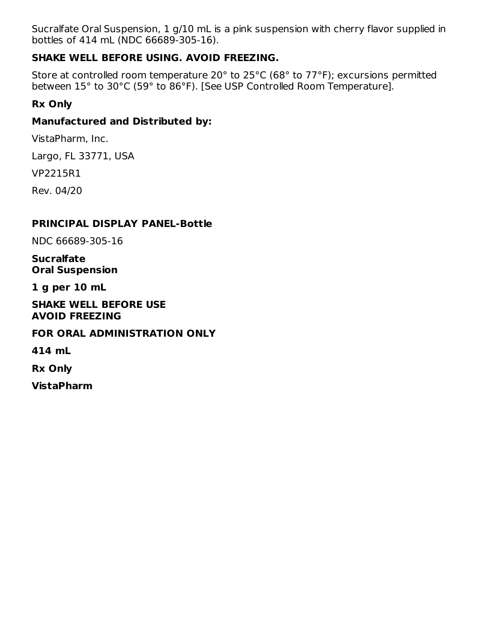Sucralfate Oral Suspension, 1 g/10 mL is a pink suspension with cherry flavor supplied in bottles of 414 mL (NDC 66689-305-16).

### **SHAKE WELL BEFORE USING. AVOID FREEZING.**

Store at controlled room temperature 20° to 25°C (68° to 77°F); excursions permitted between 15° to 30°C (59° to 86°F). [See USP Controlled Room Temperature].

### **Rx Only**

### **Manufactured and Distributed by:**

VistaPharm, Inc.

Largo, FL 33771, USA

VP2215R1

Rev. 04/20

### **PRINCIPAL DISPLAY PANEL-Bottle**

NDC 66689-305-16

**Sucralfate Oral Suspension**

**1 g per 10 mL**

**SHAKE WELL BEFORE USE AVOID FREEZING**

### **FOR ORAL ADMINISTRATION ONLY**

**414 mL**

**Rx Only**

**VistaPharm**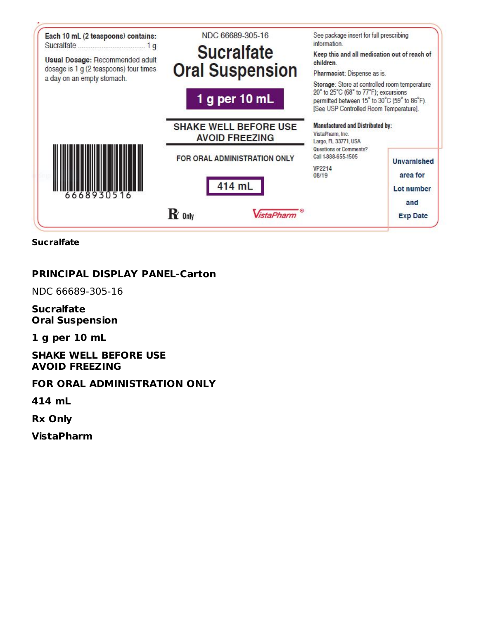

**Sucralfate**

### **PRINCIPAL DISPLAY PANEL-Carton**

NDC 66689-305-16

#### **Sucralfate Oral Suspension**

**1 g per 10 mL**

**SHAKE WELL BEFORE USE AVOID FREEZING**

#### **FOR ORAL ADMINISTRATION ONLY**

**414 mL**

**Rx Only**

**VistaPharm**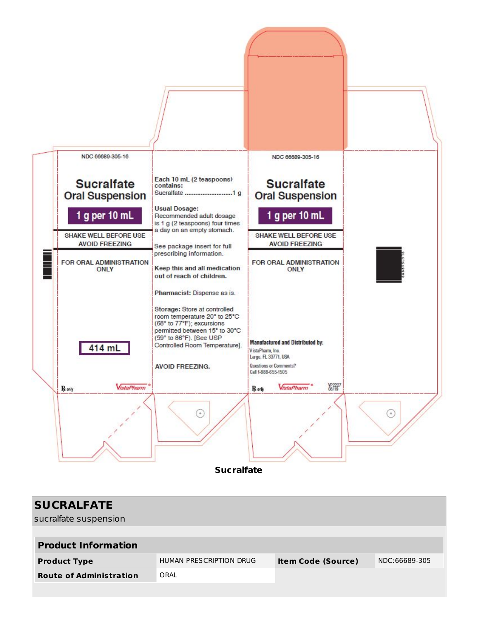

**Sucralfate**

| <b>SUCRALFATE</b><br>sucralfate suspension |                         |                           |               |
|--------------------------------------------|-------------------------|---------------------------|---------------|
| <b>Product Information</b>                 |                         |                           |               |
| <b>Product Type</b>                        | HUMAN PRESCRIPTION DRUG | <b>Item Code (Source)</b> | NDC:66689-305 |
| <b>Route of Administration</b>             | ORAL                    |                           |               |
|                                            |                         |                           |               |